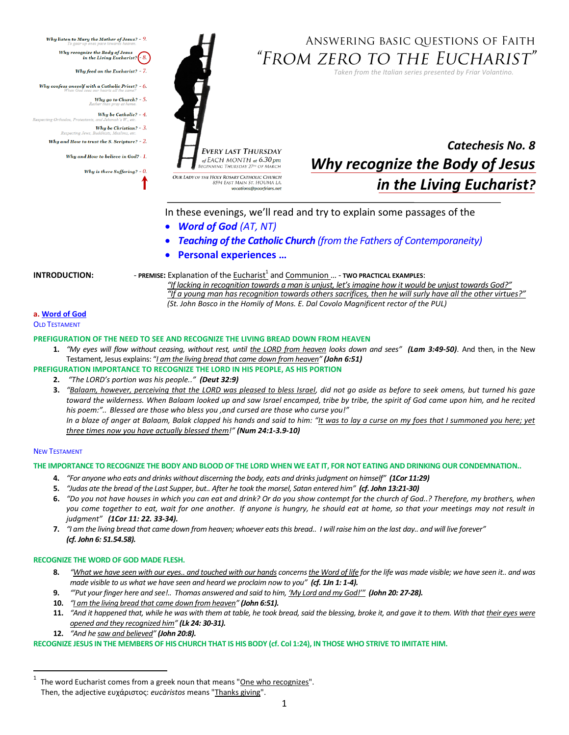**EVERY LAST THURSDAY** of EACH MONTH at 6.30 pm **BEGINNING THURSDAY 27th OF MAI** OUR LADY OF THE HOLY ROSARY CATHOLIC CHURCH 8594 EAST MAIN ST. HOUMA LA vocations@poorfriars.

# ANSWERING BASIC QUESTIONS OF FAITH "From zero to the Eucharist"

*Taken from the Italian series presented by Friar Volantino.* 



In these evenings, we'll read and try to explain some passages of the

- *Word of God (AT, NT)*
- *Teaching of the Catholic Church (from the Fathers of Contemporaneity)*
- **Personal experiences …**

pecting Orthodox, Protestan

Respecting Jews.

<span id="page-0-0"></span>Why listen to Mary the Mother of Jesus? - 9.

Why confess oneself with a Catholic Priest? -  $6$ .

Why and How to trust the S. Scripture?  $-2$ .

Why and How to believe in God? - 1.

Why is there Suffering?  $-$  0.

Why recognize the Body of Jesus<br>in the Living Eucharist?  $\bigg\{ -8.$ 

Why feed on the Eucharist? -  $7.$ 

Why go to Church? -  $5$ . Why be Catholic? - 4.

Why be Christian? -  $3$ .

**INTRODUCTION:** PREMISE: Explanation of the <u>Eucharist<sup>1</sup></u> and Communion ... - TWO PRACTICAL EXAMPLES:

*"If lacking in recognition towards a man is unjust, let's imagine how it would be unjust towards God?" "If a young man has recognition towards others sacrifices, then he will surly have all the other virtues?" (St. John Bosco in the Homily of Mons. E. Dal Covolo Magnificent rector of the PUL)*

# **a. Word of God**

**OLD TESTAMENT** 

# **PREFIGURATION OF THE NEED TO SEE AND RECOGNIZE THE LIVING BREAD DOWN FROM HEAVEN**

**1.** *"My eyes will flow without ceasing, without rest, until the LORD from heaven looks down and sees" (Lam 3:49-50)*. And then, in the New Testament, Jesus explains: "*I am the living bread that came down from heaven" (John 6:51)*

**PREFIGURATION IMPORTANCE TO RECOGNIZE THE LORD IN HIS PEOPLE, AS HIS PORTION**

- **2.** *"The LORD's portion was his people.." (Deut 32:9)*
- **3.** *"Balaam, however, perceiving that the LORD was pleased to bless Israel, did not go aside as before to seek omens, but turned his gaze toward the wilderness. When Balaam looked up and saw Israel encamped, tribe by tribe, the spirit of God came upon him, and he recited his poem:".. Blessed are those who bless you ,and cursed are those who curse you!" In a blaze of anger at Balaam, Balak clapped his hands and said to him: "It was to lay a curse on my foes that I summoned you here; yet*

*three times now you have actually blessed them!" (Num 24:1-3.9-10)*

# NEW TESTAMENT

l

# **THE IMPORTANCE TO RECOGNIZE THE BODY AND BLOOD OF THE LORD WHEN WE EAT IT, FOR NOT EATING AND DRINKING OUR CONDEMNATION..**

- **4.** *"For anyone who eats and drinks without discerning the body, eats and drinks judgment on himself" (1Cor 11:29)*
- **5.** *"Judas ate the bread of the Last Supper, but.. After he took the morsel, Satan entered him" (cf. John 13:21-30)*
- **6.** *"Do you not have houses in which you can eat and drink? Or do you show contempt for the church of God..? Therefore, my brothers, when you come together to eat, wait for one another. If anyone is hungry, he should eat at home, so that your meetings may not result in judgment" (1Cor 11: 22. 33-34).*
- **7.** *"I am the living bread that came down from heaven; whoever eats this bread.. I will raise him on the last day.. and will live forever" (cf. John 6: 51.54.58).*

# **RECOGNIZE THE WORD OF GOD MADE FLESH.**

- **8.** *"What we have seen with our eyes.. and touched with our hands concerns the Word of life for the life was made visible; we have seen it.. and was made visible to us what we have seen and heard we proclaim now to you" (cf. 1Jn 1: 1-4).*
- **9.** *"'Put your finger here and see!.. Thomas answered and said to him, 'My Lord and my God!'" (John 20: 27-28).*
- **10.** *"I am the living bread that came down from heaven" (John 6:51).*
- **11.** "And it happened that, while he was with them at table, he took bread, said the blessing, broke it, and gave it to them. With that their eyes were *opened and they recognized him" (Lk 24: 30-31).*
- **12.** *"And he saw and believed" (John 20:8).*

**RECOGNIZE JESUS IN THE MEMBERS OF HIS CHURCH THAT IS HIS BODY (cf. Col 1:24), IN THOSE WHO STRIVE TO IMITATE HIM.**

<sup>1</sup> The word Eucharist comes from a greek noun that means "One who recognizes". Then, the adjective ευχάριστος: *eucàristos* means "Thanks giving".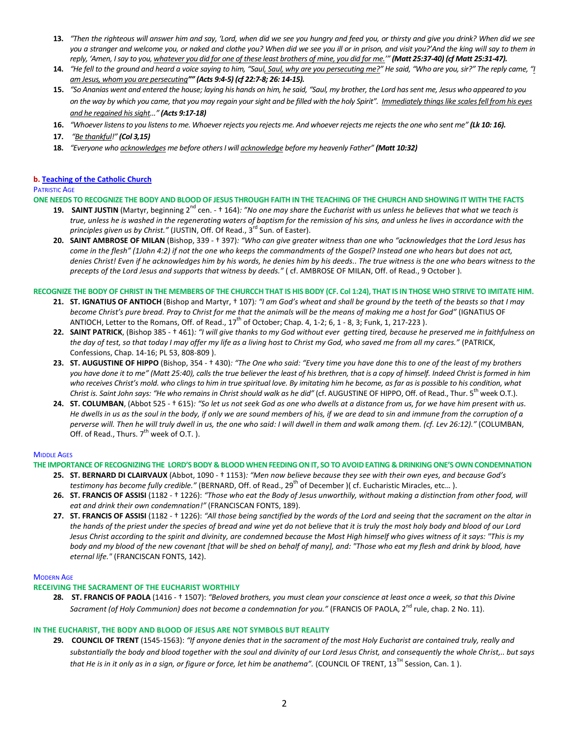- **13.** *"Then the righteous will answer him and say, 'Lord, when did we see you hungry and feed you, or thirsty and give you drink? When did we see you a stranger and welcome you, or naked and clothe you? When did we see you ill or in prison, and visit you?'And the king will say to them in reply, 'Amen, I say to you, whatever you did for one of these least brothers of mine, you did for me.'" (Matt 25:37-40) (cf Matt 25:31-47).*
- **14.** *"He fell to the ground and heard a voice saying to him, "Saul, Saul, why are you persecuting me?" He said, "Who are you, sir?" The reply came, "I am Jesus, whom you are persecuting"" (Acts 9:4-5) (cf 22:7-8; 26: 14-15).*
- **15.** *"So Ananias went and entered the house; laying his hands on him, he said, "Saul, my brother, the Lord has sent me, Jesus who appeared to you on the way by which you came, that you may regain your sight and be filled with the holy Spirit". Immediately things like scales fell from his eyes and he regained his sight..." (Acts 9:17-18)*
- **16.** *"Whoever listens to you listens to me. Whoever rejects you rejects me. And whoever rejects me rejects the one who sent me" (Lk 10: 16).*
- **17.** *"Be thankful!" (Col 3,15)*
- **18.** *"Everyone who acknowledges me before others I will acknowledge before my heavenly Father" (Matt 10:32)*

#### **b. [Teaching of the Catholic Church](#page-0-0)**

## PATRISTIC AGE

**ONE NEEDS TO RECOGNIZE THE BODY AND BLOOD OF JESUS THROUGH FAITH IN THE TEACHING OF THE CHURCH AND SHOWING IT WITH THE FACTS**

- 19. SAINT JUSTIN (Martyr, beginning 2<sup>nd</sup> cen. † 164)*: "No one may share the Eucharist with us unless he believes that what we teach is true, unless he is washed in the regenerating waters of baptism for the remission of his sins, and unless he lives in accordance with the principles given us by Christ."* (JUSTIN, Off. Of Read., 3 rd Sun. of Easter).
- **20. SAINT AMBROSE OF MILAN** (Bishop, 339 † 397)*: "Who can give greater witness than one who "acknowledges that the Lord Jesus has come in the flesh" (1John 4:2) if not the one who keeps the commandments of the Gospel? Instead one who hears but does not act, denies Christ! Even if he acknowledges him by his words, he denies him by his deeds.. The true witness is the one who bears witness to the precepts of the Lord Jesus and supports that witness by deeds."* ( cf. AMBROSE OF MILAN, Off. of Read., 9 October ).

### **RECOGNIZE THE BODY OF CHRIST IN THE MEMBERS OF THE CHURCCH THAT IS HIS BODY (CF. Col 1:24), THAT IS IN THOSE WHO STRIVE TO IMITATE HIM.**

- **21. ST. IGNATIUS OF ANTIOCH** (Bishop and Martyr, † 107)*: "I am God's wheat and shall be ground by the teeth of the beasts so that I may become Christ's pure bread. Pray to Christ for me that the animals will be the means of making me a host for God"* (IGNATIUS OF ANTIOCH, Letter to the Romans, Off. of Read., 17<sup>th</sup> of October; Chap. 4, 1-2; 6, 1 - 8, 3; Funk, 1, 217-223 ).
- **22. SAINT PATRICK**, (Bishop 385 † 461)*: "I will give thanks to my God without ever getting tired, because he preserved me in faithfulness on the day of test, so that today I may offer my life as a living host to Christ my God, who saved me from all my cares."* (PATRICK, Confessions, Chap. 14-16; PL 53, 808-809 ).
- **23. ST. AUGUSTINE OF HIPPO** (Bishop, 354 † 430)*: "The One who said: "Every time you have done this to one of the least of my brothers you have done it to me" (Matt 25:40), calls the true believer the least of his brethren, that is a copy of himself. Indeed Christ is formed in him who receives Christ's mold. who clings to him in true spiritual love. By imitating him he become, as far as is possible to his condition, what Christ is. Saint John says: "He who remains in Christ should walk as he did"* (cf. AUGUSTINE OF HIPPO, Off. of Read., Thur. 5 th week O.T.).
- **24. ST. COLUMBAN**, (Abbot 525 † 615)*: "So let us not seek God as one who dwells at a distance from us, for we have him present with us. He dwells in us as the soul in the body, if only we are sound members of his, if we are dead to sin and immune from the corruption of a perverse will. Then he will truly dwell in us, the one who said: I will dwell in them and walk among them. (cf. Lev 26:12)."* (COLUMBAN, Off. of Read., Thurs.  $7<sup>th</sup>$  week of O.T. ).

## **MIDDLE AGES**

**THE IMPORTANCE OF RECOGNIZING THE LORD'S BODY & BLOOD WHEN FEEDING ON IT, SO TO AVOID EATING & DRINKING ONE'S OWN CONDEMNATION**

- **25. ST. BERNARD DI CLAIRVAUX** (Abbot, 1090 † 1153)*: "Men now believe because they see with their own eyes, and because God's testimony has become fully credible."* (BERNARD, Off. of Read., 29<sup>th</sup> of December )( cf. Eucharistic Miracles, etc...).
- **26. ST. FRANCIS OF ASSISI** (1182 † 1226): *"Those who eat the Body of Jesus unworthily, without making a distinction from other food, will eat and drink their own condemnation!"* (FRANCISCAN FONTS, 189).
- **27. ST. FRANCIS OF ASSISI** (1182 † 1226): *"All those being sanctified by the words of the Lord and seeing that the sacrament on the altar in the hands of the priest under the species of bread and wine yet do not believe that it is truly the most holy body and blood of our Lord Jesus Christ according to the spirit and divinity, are condemned because the Most High himself who gives witness of it says: "This is my body and my blood of the new covenant [that will be shed on behalf of many], and: "Those who eat my flesh and drink by blood, have eternal life."* (FRANCISCAN FONTS, 142).

## MODERN AGE

## **RECEIVING THE SACRAMENT OF THE EUCHARIST WORTHILY**

**28. ST. FRANCIS OF PAOLA** (1416 - † 1507): *"Beloved brothers, you must clean your conscience at least once a week, so that this Divine*  Sacrament (of Holy Communion) does not become a condemnation for you." (FRANCIS OF PAOLA, 2<sup>nd</sup> rule, chap. 2 No. 11).

## **IN THE EUCHARIST, THE BODY AND BLOOD OF JESUS ARE NOT SYMBOLS BUT REALITY**

**29. COUNCIL OF TRENT** (1545-1563): *"If anyone denies that in the sacrament of the most Holy Eucharist are contained truly, really and substantially the body and blood together with the soul and divinity of our Lord Jesus Christ, and consequently the whole Christ,.. but says that He is in it only as in a sign, or figure or force, let him be anathema".* (COUNCIL OF TRENT, 13<sup>TH</sup> Session, Can. 1).